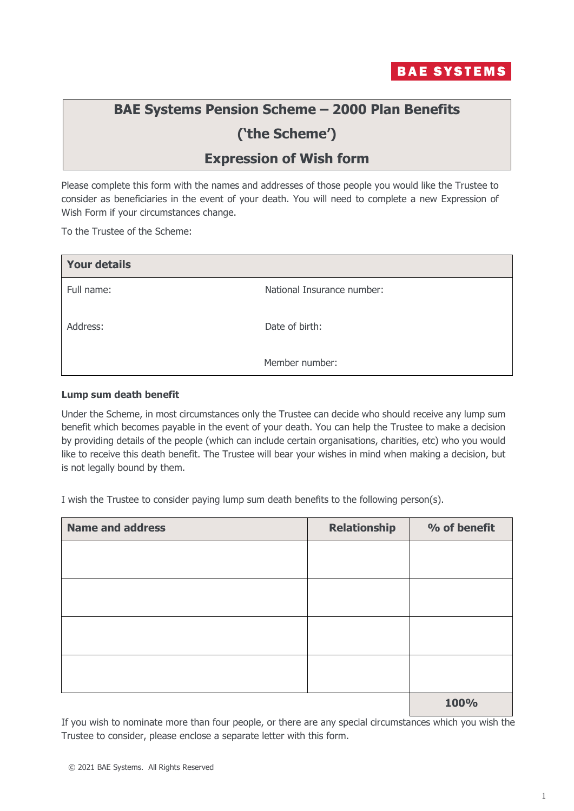

# **BAE Systems Pension Scheme – 2000 Plan Benefits**

# **('the Scheme')**

## **Expression of Wish form**

Please complete this form with the names and addresses of those people you would like the Trustee to consider as beneficiaries in the event of your death. You will need to complete a new Expression of Wish Form if your circumstances change.

To the Trustee of the Scheme:

| <b>Your details</b> |                            |
|---------------------|----------------------------|
| Full name:          | National Insurance number: |
| Address:            | Date of birth:             |
|                     | Member number:             |

#### **Lump sum death benefit**

Under the Scheme, in most circumstances only the Trustee can decide who should receive any lump sum benefit which becomes payable in the event of your death. You can help the Trustee to make a decision by providing details of the people (which can include certain organisations, charities, etc) who you would like to receive this death benefit. The Trustee will bear your wishes in mind when making a decision, but is not legally bound by them.

I wish the Trustee to consider paying lump sum death benefits to the following person(s).

| <b>Name and address</b> | <b>Relationship</b> | % of benefit |
|-------------------------|---------------------|--------------|
|                         |                     |              |
|                         |                     |              |
|                         |                     |              |
|                         |                     |              |
|                         |                     |              |
|                         |                     |              |
|                         |                     |              |
|                         |                     |              |
|                         |                     | 100%         |

If you wish to nominate more than four people, or there are any special circumstances which you wish the Trustee to consider, please enclose a separate letter with this form.